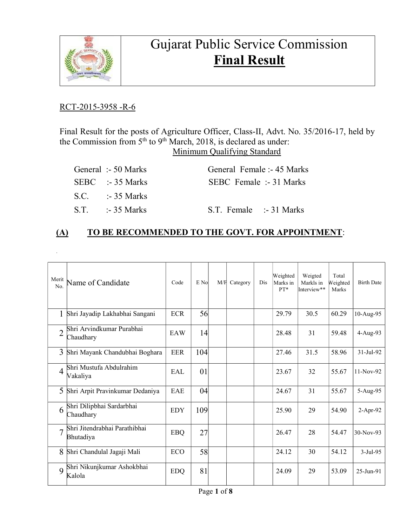

# Gujarat Public Service Commission Final Result

### RCT-2015-3958 -R-6

.

Final Result for the posts of Agriculture Officer, Class-II, Advt. No. 35/2016-17, held by the Commission from 5<sup>th</sup> to 9<sup>th</sup> March, 2018, is declared as under: Minimum Qualifying Standard

| General :- 50 Marks | General Female :- 45 Marks |  |
|---------------------|----------------------------|--|
| $SEBC$ :-35 Marks   | SEBC Female :- 31 Marks    |  |
| $S.C.$ :-35 Marks   |                            |  |
| $ST = -35$ Marks    | S.T. Female :-31 Marks     |  |

### (A) TO BE RECOMMENDED TO THE GOVT. FOR APPOINTMENT:

| Merit<br>No.   | Name of Candidate                          | Code       | E No | M/F | Category | Dis | Weighted<br>Marks in<br>PT* | Weigted<br>Markls in<br>Interview** | Total<br>Weighted<br>Marks | <b>Birth Date</b> |
|----------------|--------------------------------------------|------------|------|-----|----------|-----|-----------------------------|-------------------------------------|----------------------------|-------------------|
| 1              | Shri Jayadip Lakhabhai Sangani             | <b>ECR</b> | 56   |     |          |     | 29.79                       | 30.5                                | 60.29                      | 10-Aug-95         |
|                | Shri Arvindkumar Purabhai<br>Chaudhary     | EAW        | 4    |     |          |     | 28.48                       | 31                                  | 59.48                      | 4-Aug-93          |
| 3              | Shri Mayank Chandubhai Boghara             | <b>EER</b> | 104  |     |          |     | 27.46                       | 31.5                                | 58.96                      | 31-Jul-92         |
| $\overline{4}$ | Shri Mustufa Abdulrahim<br>Vakaliya        | EAL        | 01   |     |          |     | 23.67                       | 32                                  | 55.67                      | 11-Nov-92         |
| 5              | Shri Arpit Pravinkumar Dedaniya            | EAE        | 04   |     |          |     | 24.67                       | 31                                  | 55.67                      | 5-Aug-95          |
| 6              | Shri Dilipbhai Sardarbhai<br>Chaudhary     | <b>EDY</b> | 109  |     |          |     | 25.90                       | 29                                  | 54.90                      | 2-Apr-92          |
| $\overline{7}$ | Shri Jitendrabhai Parathibhai<br>Bhutadiya | <b>EBQ</b> | 27   |     |          |     | 26.47                       | 28                                  | 54.47                      | 30-Nov-93         |
| 8              | Shri Chandulal Jagaji Mali                 | <b>ECO</b> | 58   |     |          |     | 24.12                       | 30                                  | 54.12                      | $3-Jul-95$        |
| 9              | Shri Nikunjkumar Ashokbhai<br>Kalola       | <b>EDQ</b> | 81   |     |          |     | 24.09                       | 29                                  | 53.09                      | 25-Jun-91         |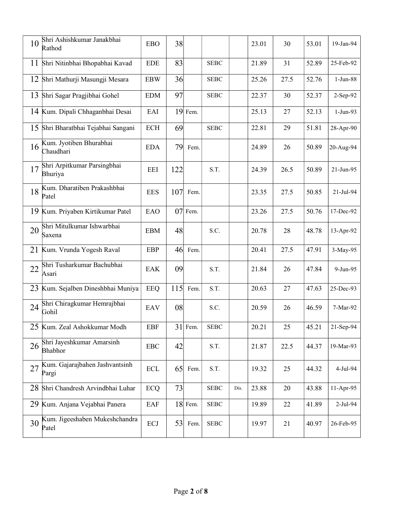| 10 | Shri Ashishkumar Janakbhai<br>Rathod    | <b>EBO</b>           | 38  |           |             |      | 23.01 | 30   | 53.01 | 19-Jan-94   |
|----|-----------------------------------------|----------------------|-----|-----------|-------------|------|-------|------|-------|-------------|
| 11 | Shri Nitinbhai Bhopabhai Kavad          | <b>EDE</b>           | 83  |           | <b>SEBC</b> |      | 21.89 | 31   | 52.89 | 25-Feb-92   |
|    | 12 Shri Mathurji Masungji Mesara        | <b>EBW</b>           | 36  |           | <b>SEBC</b> |      | 25.26 | 27.5 | 52.76 | $1-Jun-88$  |
| 13 | Shri Sagar Pragjibhai Gohel             | <b>EDM</b>           | 97  |           | <b>SEBC</b> |      | 22.37 | 30   | 52.37 | 2-Sep-92    |
|    | 14 Kum. Dipali Chhaganbhai Desai        | EAI                  |     | 19 Fem.   |             |      | 25.13 | 27   | 52.13 | $1-Jun-93$  |
|    | 15 Shri Bharatbhai Tejabhai Sangani     | <b>ECH</b>           | 69  |           | <b>SEBC</b> |      | 22.81 | 29   | 51.81 | 28-Apr-90   |
| 16 | Kum. Jyotiben Bhurabhai<br>Chaudhari    | <b>EDA</b>           | 79  | Fem.      |             |      | 24.89 | 26   | 50.89 | 20-Aug-94   |
| 17 | Shri Arpitkumar Parsingbhai<br>Bhuriya  | <b>EEI</b>           | 122 |           | S.T.        |      | 24.39 | 26.5 | 50.89 | 21-Jun-95   |
| 18 | Kum. Dharatiben Prakashbhai<br>Patel    | <b>EES</b>           | 107 | Fem.      |             |      | 23.35 | 27.5 | 50.85 | 21-Jul-94   |
|    | 19 Kum. Priyaben Kirtikumar Patel       | EAO                  | 07  | Fem.      |             |      | 23.26 | 27.5 | 50.76 | 17-Dec-92   |
| 20 | Shri Mitulkumar Ishwarbhai<br>Saxena    | <b>EBM</b>           | 48  |           | S.C.        |      | 20.78 | 28   | 48.78 | 13-Apr-92   |
|    | 21 Kum. Vrunda Yogesh Raval             | EBP                  | 46  | Fem.      |             |      | 20.41 | 27.5 | 47.91 | 3-May-95    |
| 22 | Shri Tusharkumar Bachubhai<br>Asari     | EAK                  | 09  |           | S.T.        |      | 21.84 | 26   | 47.84 | 9-Jun-95    |
|    | 23 Kum. Sejalben Dineshbhai Muniya      | EEQ                  | 115 | Fem.      | S.T.        |      | 20.63 | 27   | 47.63 | 25-Dec-93   |
| 24 | Shri Chiragkumar Hemrajbhai<br>Gohil    | EAV                  | 08  |           | S.C.        |      | 20.59 | 26   | 46.59 | 7-Mar-92    |
|    | 25 Kum. Zeal Ashokkumar Modh            | EBF                  | 31  | Fem.      | <b>SEBC</b> |      | 20.21 | 25   | 45.21 | 21-Sep-94   |
| 26 | Shri Jayeshkumar Amarsinh<br>Bhabhor    | <b>EBC</b>           | 42  |           | S.T.        |      | 21.87 | 22.5 | 44.37 | 19-Mar-93   |
| 27 | Kum. Gajarajbahen Jashvantsinh<br>Pargi | $\operatorname{ECL}$ | 65  | Fem.      | S.T.        |      | 19.32 | 25   | 44.32 | $4-Jul-94$  |
| 28 | Shri Chandresh Arvindbhai Luhar         | <b>ECQ</b>           | 73  |           | <b>SEBC</b> | Dis. | 23.88 | 20   | 43.88 | $11-Apr-95$ |
|    | 29 Kum. Anjana Vejabhai Panera          | EAF                  |     | $18$ Fem. | <b>SEBC</b> |      | 19.89 | 22   | 41.89 | $2-Jul-94$  |
| 30 | Kum. Jigeeshaben Mukeshchandra<br>Patel | ECJ                  | 53  | Fem.      | <b>SEBC</b> |      | 19.97 | 21   | 40.97 | 26-Feb-95   |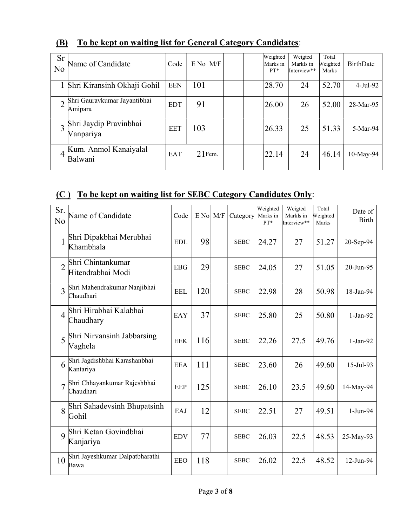| <b>Sr</b><br>No | Name of Candidate                       | Code       |     | $E$ No $M/F$ |  | Weighted<br>Marks in<br>$PT*$ | Weigted<br>Markls in<br>Interview** | Total<br>Weighted<br>Marks | <b>BirthDate</b> |
|-----------------|-----------------------------------------|------------|-----|--------------|--|-------------------------------|-------------------------------------|----------------------------|------------------|
|                 | Shri Kiransinh Okhaji Gohil             | <b>EEN</b> | 101 |              |  | 28.70                         | 24                                  | 52.70                      | 4-Jul-92         |
|                 | Shri Gauravkumar Jayantibhai<br>Amipara | <b>EDT</b> | 91  |              |  | 26.00                         | 26                                  | 52.00                      | 28-Mar-95        |
|                 | Shri Jaydip Pravinbhai<br>Vanpariya     | <b>EET</b> | 103 |              |  | 26.33                         | 25                                  | 51.33                      | 5-Mar-94         |
| 4               | Kum. Anmol Kanaiyalal<br>Balwani        | <b>EAT</b> |     | $21$ Fem.    |  | 22.14                         | 24                                  | 46.14                      | 10-May-94        |

# (B) To be kept on waiting list for General Category Candidates:

## (C ) To be kept on waiting list for SEBC Category Candidates Only:

| Sr.<br>No      | Name of Candidate                          | Code       | $E$ No $M/F$ | Category    | Weighted<br>Marks in<br>PT* | Weigted<br>Markls in<br>Interview** | Total<br>Weighted<br>Marks | Date of<br>Birth |
|----------------|--------------------------------------------|------------|--------------|-------------|-----------------------------|-------------------------------------|----------------------------|------------------|
| 1              | Shri Dipakbhai Merubhai<br>Khambhala       | <b>EDL</b> | 98           | <b>SEBC</b> | 24.27                       | 27                                  | 51.27                      | 20-Sep-94        |
| $\overline{2}$ | Shri Chintankumar<br>Hitendrabhai Modi     | <b>EBG</b> | 29           | <b>SEBC</b> | 24.05                       | 27                                  | 51.05                      | 20-Jun-95        |
| 3              | Shri Mahendrakumar Nanjibhai<br>Chaudhari  | <b>EEL</b> | 120          | <b>SEBC</b> | 22.98                       | 28                                  | 50.98                      | 18-Jan-94        |
| $\overline{4}$ | Shri Hirabhai Kalabhai<br>Chaudhary        | <b>EAY</b> | 37           | <b>SEBC</b> | 25.80                       | 25                                  | 50.80                      | $1-Jan-92$       |
| 5              | Shri Nirvansinh Jabbarsing<br>Vaghela      | <b>EEK</b> | 116          | <b>SEBC</b> | 22.26                       | 27.5                                | 49.76                      | $1-Jan-92$       |
| 6              | Shri Jagdishbhai Karashanbhai<br>Kantariya | <b>EEA</b> | 111          | <b>SEBC</b> | 23.60                       | 26                                  | 49.60                      | 15-Jul-93        |
|                | Shri Chhayankumar Rajeshbhai<br>Chaudhari  | EEP        | 125          | <b>SEBC</b> | 26.10                       | 23.5                                | 49.60                      | 14-May-94        |
| 8              | Shri Sahadevsinh Bhupatsinh<br>Gohil       | EAJ        | 12           | <b>SEBC</b> | 22.51                       | 27                                  | 49.51                      | $1-Jun-94$       |
| 9              | Shri Ketan Govindbhai<br>Kanjariya         | <b>EDV</b> | 77           | <b>SEBC</b> | 26.03                       | 22.5                                | 48.53                      | 25-May-93        |
| 10             | Shri Jayeshkumar Dalpatbharathi<br>Bawa    | <b>EEO</b> | 118          | <b>SEBC</b> | 26.02                       | 22.5                                | 48.52                      | 12-Jun-94        |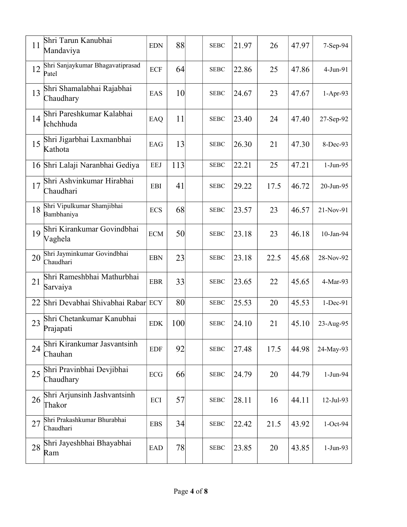| 11 | Shri Tarun Kanubhai<br>Mandaviya          | <b>EDN</b> | 88  | <b>SEBC</b> | 21.97 | 26   | 47.97 | 7-Sep-94    |
|----|-------------------------------------------|------------|-----|-------------|-------|------|-------|-------------|
| 12 | Shri Sanjaykumar Bhagavatiprasad<br>Patel | <b>ECF</b> | 64  | <b>SEBC</b> | 22.86 | 25   | 47.86 | $4-Jun-91$  |
| 13 | Shri Shamalabhai Rajabhai<br>Chaudhary    | EAS        | 10  | <b>SEBC</b> | 24.67 | 23   | 47.67 | $1-Apr-93$  |
| 14 | Shri Pareshkumar Kalabhai<br>Ichchhuda    | EAQ        | 11  | <b>SEBC</b> | 23.40 | 24   | 47.40 | 27-Sep-92   |
| 15 | Shri Jigarbhai Laxmanbhai<br>Kathota      | EAG        | 13  | <b>SEBC</b> | 26.30 | 21   | 47.30 | 8-Dec-93    |
|    | 16 Shri Lalaji Naranbhai Gediya           | <b>EEJ</b> | 113 | <b>SEBC</b> | 22.21 | 25   | 47.21 | $1-Jun-95$  |
| 17 | Shri Ashvinkumar Hirabhai<br>Chaudhari    | <b>EBI</b> | 41  | <b>SEBC</b> | 29.22 | 17.5 | 46.72 | 20-Jun-95   |
| 18 | Shri Vipulkumar Shamjibhai<br>Bambhaniya  | <b>ECS</b> | 68  | <b>SEBC</b> | 23.57 | 23   | 46.57 | 21-Nov-91   |
| 19 | Shri Kirankumar Govindbhai<br>Vaghela     | <b>ECM</b> | 50  | <b>SEBC</b> | 23.18 | 23   | 46.18 | 10-Jan-94   |
| 20 | Shri Jayminkumar Govindbhai<br>Chaudhari  | <b>EBN</b> | 23  | <b>SEBC</b> | 23.18 | 22.5 | 45.68 | 28-Nov-92   |
| 21 | Shri Rameshbhai Mathurbhai<br>Sarvaiya    | <b>EBR</b> | 33  | <b>SEBC</b> | 23.65 | 22   | 45.65 | 4-Mar-93    |
| 22 | Shri Devabhai Shivabhai Rabar ECY         |            | 80  | <b>SEBC</b> | 25.53 | 20   | 45.53 | 1-Dec-91    |
| 23 | Shri Chetankumar Kanubhai<br>Prajapati    | <b>EDK</b> | 100 | <b>SEBC</b> | 24.10 | 21   | 45.10 | 23-Aug-95   |
| 24 | Shri Kirankumar Jasvantsinh<br>Chauhan    | <b>EDF</b> | 92  | <b>SEBC</b> | 27.48 | 17.5 | 44.98 | 24-May-93   |
| 25 | Shri Pravinbhai Devjibhai<br>Chaudhary    | ECG        | 66  | <b>SEBC</b> | 24.79 | 20   | 44.79 | 1-Jun-94    |
| 26 | Shri Arjunsinh Jashvantsinh<br>Thakor     | ECI        | 57  | <b>SEBC</b> | 28.11 | 16   | 44.11 | $12-Jul-93$ |
| 27 | Shri Prakashkumar Bhurabhai<br>Chaudhari  | <b>EBS</b> | 34  | <b>SEBC</b> | 22.42 | 21.5 | 43.92 | $1-Oct-94$  |
| 28 | Shri Jayeshbhai Bhayabhai<br>Ram          | <b>EAD</b> | 78  | <b>SEBC</b> | 23.85 | 20   | 43.85 | $1-Jun-93$  |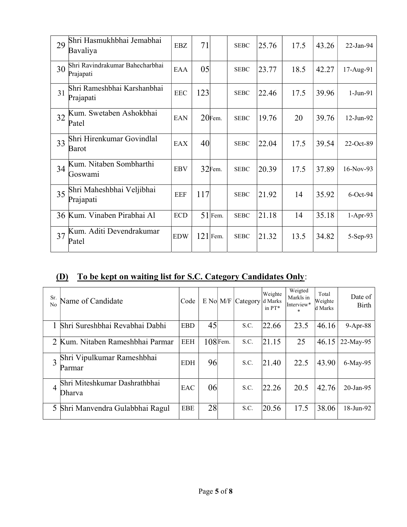| 29 | Shri Hasmukhbhai Jemabhai<br>Bavaliya        | <b>EBZ</b> | 71  |            | <b>SEBC</b> | 25.76 | 17.5 | 43.26 | $22$ -Jan-94 |
|----|----------------------------------------------|------------|-----|------------|-------------|-------|------|-------|--------------|
| 30 | Shri Ravindrakumar Bahecharbhai<br>Prajapati | EAA        | 05  |            | <b>SEBC</b> | 23.77 | 18.5 | 42.27 | 17-Aug-91    |
| 31 | Shri Rameshbhai Karshanbhai<br>Prajapati     | <b>EEC</b> | 123 |            | <b>SEBC</b> | 22.46 | 17.5 | 39.96 | 1-Jun-91     |
| 32 | Kum. Swetaben Ashokbhai<br>Patel             | <b>EAN</b> |     | 20Fem.     | <b>SEBC</b> | 19.76 | 20   | 39.76 | 12-Jun-92    |
| 33 | Shri Hirenkumar Govindlal<br>Barot           | EAX        | 40  |            | <b>SEBC</b> | 22.04 | 17.5 | 39.54 | 22-Oct-89    |
| 34 | Kum. Nitaben Sombharthi<br>Goswami           | <b>EBV</b> |     | $32$ Fem.  | <b>SEBC</b> | 20.39 | 17.5 | 37.89 | 16-Nov-93    |
| 35 | Shri Maheshbhai Veljibhai<br>Prajapati       | <b>EEF</b> | 117 |            | <b>SEBC</b> | 21.92 | 14   | 35.92 | $6$ -Oct-94  |
| 36 | Kum. Vinaben Pirabhai Al                     | <b>ECD</b> |     | $51$ Fem.  | <b>SEBC</b> | 21.18 | 14   | 35.18 | $1-Apr-93$   |
| 37 | Kum. Aditi Devendrakumar<br>Patel            | <b>EDW</b> |     | $121$ Fem. | <b>SEBC</b> | 21.32 | 13.5 | 34.82 | 5-Sep-93     |

# (D) To be kept on waiting list for S.C. Category Candidates Only:

| Sr.<br>N <sub>0</sub> | Name of Candidate                       | Code       |    | $E$ No $M/F$ | Category | Weighte<br>d Marks<br>in $PT^*$ | Weigted<br>Markls in<br>Interview*<br>$\star$ | Total<br>Weighte<br>d Marks | Date of<br><b>Birth</b> |
|-----------------------|-----------------------------------------|------------|----|--------------|----------|---------------------------------|-----------------------------------------------|-----------------------------|-------------------------|
|                       | Shri Sureshbhai Revabhai Dabhi          | <b>EBD</b> | 45 |              | S.C.     | 22.66                           | 23.5                                          | 46.16                       | 9-Apr-88                |
|                       | Kum. Nitaben Rameshbhai Parmar          | <b>EEH</b> |    | $108$ Fem.   | S.C.     | 21.15                           | 25                                            | 46.15                       | 22-May-95               |
|                       | Shri Vipulkumar Rameshbhai<br>Parmar    | <b>EDH</b> | 96 |              | S.C.     | 21.40                           | 22.5                                          | 43.90                       | 6-May-95                |
| 4                     | Shri Miteshkumar Dashrathbhai<br>Dharva | EAC        | 06 |              | S.C.     | 22.26                           | 20.5                                          | 42.76                       | $20$ -Jan-95            |
| 5                     | Shri Manvendra Gulabbhai Ragul          | <b>EBE</b> | 28 |              | S.C.     | 20.56                           | 17.5                                          | 38.06                       | 18-Jun-92               |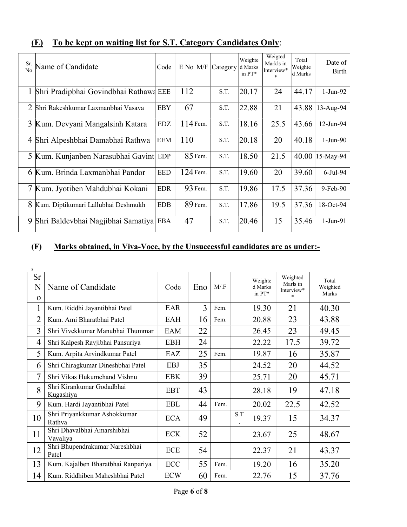| Sr.<br>No | Name of Candidate                        | Code       |     | $E$ No $M/F$ | Category | Weighte<br>d Marks<br>in PT* | Weigted<br>Markls in<br>Interview* | Total<br>Weighte<br>d Marks | Date of<br>Birth |
|-----------|------------------------------------------|------------|-----|--------------|----------|------------------------------|------------------------------------|-----------------------------|------------------|
|           | 1 Shri Pradipbhai Govindbhai Rathawa EEE |            | 112 |              | S.T.     | 20.17                        | 24                                 | 44.17                       | 1-Jun-92         |
| 2         | Shri Rakeshkumar Laxmanbhai Vasava       | <b>EBY</b> | 67  |              | S.T.     | 22.88                        | 21                                 | 43.88                       | 13-Aug-94        |
| 3         | Kum. Devyani Mangalsinh Katara           | <b>EDZ</b> |     | $114$ Fem.   | S.T.     | 18.16                        | 25.5                               | 43.66                       | 12-Jun-94        |
| 4         | Shri Alpeshbhai Damabhai Rathwa          | EEM        | 110 |              | S.T.     | 20.18                        | 20                                 | 40.18                       | $1-Jun-90$       |
|           | 5 Kum. Kunjanben Narasubhai Gavint EDP   |            |     | $85$ Fem.    | S.T.     | 18.50                        | 21.5                               | 40.00                       | 15-May-94        |
|           | 6 Kum. Brinda Laxmanbhai Pandor          | <b>EED</b> |     | $124$ Fem.   | S.T.     | 19.60                        | 20                                 | 39.60                       | $6$ -Jul-94      |
|           | 7 Kum. Jyotiben Mahdubhai Kokani         | <b>EDR</b> |     | $93$ Fem.    | S.T.     | 19.86                        | 17.5                               | 37.36                       | 9-Feb-90         |
| 8         | Kum. Diptikumari Lallubhai Deshmukh      | <b>EDB</b> |     | $89$ Fem.    | S.T.     | 17.86                        | 19.5                               | 37.36                       | 18-Oct-94        |
| 9         | Shri Baldevbhai Nagjibhai Samatiya       | <b>EBA</b> | 47  |              | S.T.     | 20.46                        | 15                                 | 35.46                       | $1-Jun-91$       |

# (E) To be kept on waiting list for S.T. Category Candidates Only:

## (F) Marks obtained, in Viva-Voce, by the Unsuccessful candidates are as under:-

| ${\bf S}$                  |                                         |            |     |      |     |                                 |                                              |                            |
|----------------------------|-----------------------------------------|------------|-----|------|-----|---------------------------------|----------------------------------------------|----------------------------|
| <b>Sr</b><br>N<br>$\Omega$ | Name of Candidate                       | Code       | Eno | M/F  |     | Weighte<br>d Marks<br>in $PT^*$ | Weighted<br>Marls in<br>Interview*<br>$\ast$ | Total<br>Weighted<br>Marks |
| 1                          | Kum. Riddhi Jayantibhai Patel           | EAR        | 3   | Fem. |     | 19.30                           | 21                                           | 40.30                      |
| $\overline{2}$             | Kum. Ami Bharatbhai Patel               | EAH        | 16  | Fem. |     | 20.88                           | 23                                           | 43.88                      |
| 3                          | Shri Vivekkumar Manubhai Thummar        | EAM        | 22  |      |     | 26.45                           | 23                                           | 49.45                      |
| $\overline{4}$             | Shri Kalpesh Ravjibhai Pansuriya        | <b>EBH</b> | 24  |      |     | 22.22                           | 17.5                                         | 39.72                      |
| 5                          | Kum. Arpita Arvindkumar Patel           | EAZ        | 25  | Fem. |     | 19.87                           | 16                                           | 35.87                      |
| 6                          | Shri Chiragkumar Dineshbhai Patel       | <b>EBJ</b> | 35  |      |     | 24.52                           | 20                                           | 44.52                      |
| 7                          | Shri Vikas Hukumchand Vishnu            | <b>EBK</b> | 39  |      |     | 25.71                           | 20                                           | 45.71                      |
| 8                          | Shri Kirankumar Godadbhai<br>Kugashiya  | <b>EBT</b> | 43  |      |     | 28.18                           | 19                                           | 47.18                      |
| 9                          | Kum. Hardi Jayantibhai Patel            | <b>EBL</b> | 44  | Fem. |     | 20.02                           | 22.5                                         | 42.52                      |
| 10                         | Shri Priyankkumar Ashokkumar<br>Rathva  | <b>ECA</b> | 49  |      | S.T | 19.37                           | 15                                           | 34.37                      |
| 11                         | Shri Dhavalbhai Amarshibhai<br>Vavaliya | <b>ECK</b> | 52  |      |     | 23.67                           | 25                                           | 48.67                      |
| 12                         | Shri Bhupendrakumar Nareshbhai<br>Patel | <b>ECE</b> | 54  |      |     | 22.37                           | 21                                           | 43.37                      |
| 13                         | Kum. Kajalben Bharatbhai Ranpariya      | <b>ECC</b> | 55  | Fem. |     | 19.20                           | 16                                           | 35.20                      |
| 14                         | Kum. Riddhiben Maheshbhai Patel         | <b>ECW</b> | 60  | Fem. |     | 22.76                           | 15                                           | 37.76                      |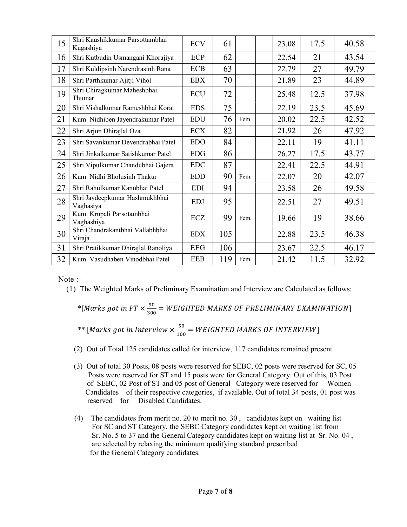| 15 | Shri Kaushikkumar Parsottambhai<br>Kugashiya | <b>ECV</b> | 61  |      | 23.08 | 17.5 | 40.58 |
|----|----------------------------------------------|------------|-----|------|-------|------|-------|
| 16 | Shri Kutbudin Usmangani Khorajiya            | <b>ECP</b> | 62  |      | 22.54 | 21   | 43.54 |
| 17 | Shri Kuldipsinh Narendrasinh Rana            | <b>ECB</b> | 63  |      | 22.79 | 27   | 49.79 |
| 18 | Shri Parthkumar Ajitji Vihol                 | <b>EBX</b> | 70  |      | 21.89 | 23   | 44.89 |
| 19 | Shri Chiragkumar Maheshbhai<br>Thumar        | <b>ECU</b> | 72  |      | 25.48 | 12.5 | 37.98 |
| 20 | Shri Vishalkumar Rameshbhai Korat            | <b>EDS</b> | 75  |      | 22.19 | 23.5 | 45.69 |
| 21 | Kum. Nidhiben Jayendrakumar Patel            | <b>EDU</b> | 76  | Fem. | 20.02 | 22.5 | 42.52 |
| 22 | Shri Arjun Dhirajlal Oza                     | <b>ECX</b> | 82  |      | 21.92 | 26   | 47.92 |
| 23 | Shri Savankumar Devendrabhai Patel           | <b>EDO</b> | 84  |      | 22.11 | 19   | 41.11 |
| 24 | Shri Jinkalkumar Satishkumar Patel           | <b>EDG</b> | 86  |      | 26.27 | 17.5 | 43.77 |
| 25 | Shri Vipulkumar Chandubhai Gajera            | <b>EDC</b> | 87  |      | 22.41 | 22.5 | 44.91 |
| 26 | Kum. Nidhi Bholusinh Thakur                  | <b>EDD</b> | 90  | Fem. | 22.07 | 20   | 42.07 |
| 27 | Shri Rahulkumar Kanubhai Patel               | <b>EDI</b> | 94  |      | 23.58 | 26   | 49.58 |
| 28 | Shri Jaydeepkumar Hashmukhbhai<br>Vaghasiya  | <b>EDJ</b> | 95  |      | 22.51 | 27   | 49.51 |
| 29 | Kum. Krupali Parsotambhai<br>Vaghashiya      | ECZ        | 99  | Fem. | 19.66 | 19   | 38.66 |
| 30 | Shri Chandrakantbhai Vallabhbhai<br>Viraja   | <b>EDX</b> | 105 |      | 22.88 | 23.5 | 46.38 |
| 31 | Shri Pratikkumar Dhirajlal Ranoliya          | <b>EEG</b> | 106 |      | 23.67 | 22.5 | 46.17 |
| 32 | Kum. Vasudhaben Vinodbhai Patel              | <b>EEB</b> | 119 | Fem. | 21.42 | 11.5 | 32.92 |

Note :-

(1) The Weighted Marks of Preliminary Examination and Interview are Calculated as follows:

\*[Marks got in PT  $\times \frac{50}{200}$  $\frac{30}{300}$  = WEIGHTED MARKS OF PRELIMINARY EXAMINATION]

<sup>\*\*</sup> [*Marks got in Interview* 
$$
\times \frac{50}{100}
$$
 = *WEIGHTED MARKS OF INTERVIEW*]

- (2) Out of Total 125 candidates called for interview, 117 candidates remained present.
- (3) Out of total 30 Posts, 08 posts were reserved for SEBC, 02 posts were reserved for SC, 05 Posts were reserved for ST and 15 posts were for General Category. Out of this, 03 Post of SEBC, 02 Post of ST and 05 post of General Category were reserved for Women Candidates of their respective categories, if available. Out of total 34 posts, 01 post was reserved for Disabled Candidates.
- (4) The candidates from merit no. 20 to merit no. 30 , candidates kept on waiting list For SC and ST Category, the SEBC Category candidates kept on waiting list from Sr. No. 5 to 37 and the General Category candidates kept on waiting list at Sr. No. 04 , are selected by relaxing the minimum qualifying standard prescribed for the General Category candidates.